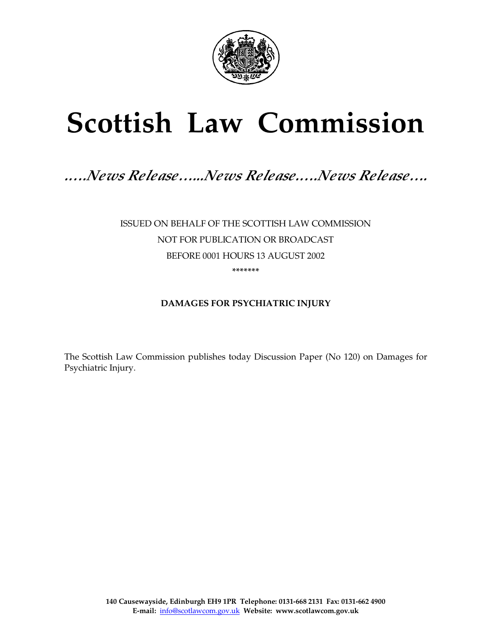

# **Scottish Law Commission**

# *.….News Release…...News Release.….News Release….*

ISSUED ON BEHALF OF THE SCOTTISH LAW COMMISSION NOT FOR PUBLICATION OR BROADCAST BEFORE 0001 HOURS 13 AUGUST 2002 **\*\*\*\*\*\*\*** 

### **DAMAGES FOR PSYCHIATRIC INJURY**

The Scottish Law Commission publishes today Discussion Paper (No 120) on Damages for Psychiatric Injury.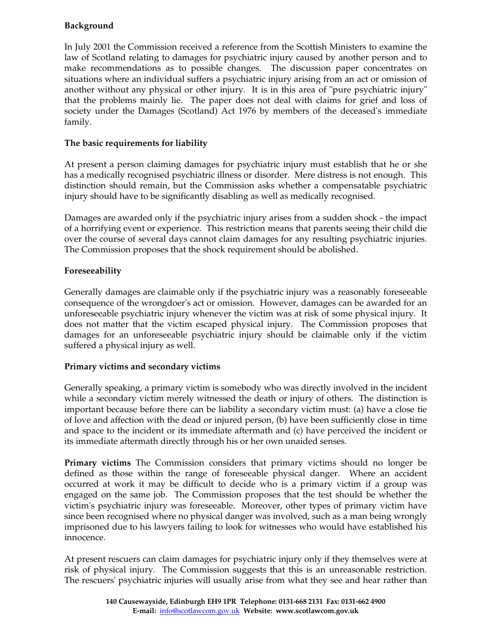## **Background**

In July 2001 the Commission received a reference from the Scottish Ministers to examine the law of Scotland relating to damages for psychiatric injury caused by another person and to make recommendations as to possible changes. The discussion paper concentrates on situations where an individual suffers a psychiatric injury arising from an act or omission of another without any physical or other injury. It is in this area of "pure psychiatric injury" that the problems mainly lie. The paper does not deal with claims for grief and loss of society under the Damages (Scotland) Act 1976 by members of the deceased's immediate family.

#### **The basic requirements for liability**

At present a person claiming damages for psychiatric injury must establish that he or she has a medically recognised psychiatric illness or disorder. Mere distress is not enough. This distinction should remain, but the Commission asks whether a compensatable psychiatric injury should have to be significantly disabling as well as medically recognised.

Damages are awarded only if the psychiatric injury arises from a sudden shock - the impact of a horrifying event or experience. This restriction means that parents seeing their child die over the course of several days cannot claim damages for any resulting psychiatric injuries. The Commission proposes that the shock requirement should be abolished.

#### **Foreseeability**

Generally damages are claimable only if the psychiatric injury was a reasonably foreseeable consequence of the wrongdoer's act or omission. However, damages can be awarded for an unforeseeable psychiatric injury whenever the victim was at risk of some physical injury. It does not matter that the victim escaped physical injury. The Commission proposes that damages for an unforeseeable psychiatric injury should be claimable only if the victim suffered a physical injury as well.

#### **Primary victims and secondary victims**

Generally speaking, a primary victim is somebody who was directly involved in the incident while a secondary victim merely witnessed the death or injury of others. The distinction is important because before there can be liability a secondary victim must: (a) have a close tie of love and affection with the dead or injured person, (b) have been sufficiently close in time and space to the incident or its immediate aftermath and (c) have perceived the incident or its immediate aftermath directly through his or her own unaided senses.

**Primary victims** The Commission considers that primary victims should no longer be defined as those within the range of foreseeable physical danger. Where an accident occurred at work it may be difficult to decide who is a primary victim if a group was engaged on the same job. The Commission proposes that the test should be whether the victim's psychiatric injury was foreseeable. Moreover, other types of primary victim have since been recognised where no physical danger was involved, such as a man being wrongly imprisoned due to his lawyers failing to look for witnesses who would have established his innocence.

At present rescuers can claim damages for psychiatric injury only if they themselves were at risk of physical injury. The Commission suggests that this is an unreasonable restriction. The rescuers' psychiatric injuries will usually arise from what they see and hear rather than